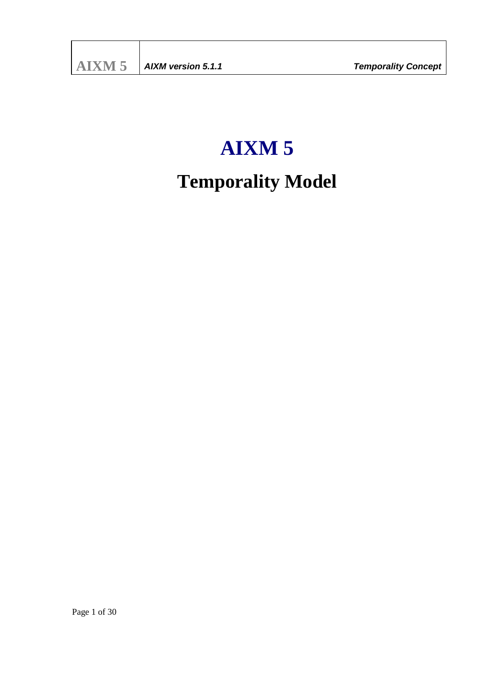# **AIXM 5**

# **Temporality Model**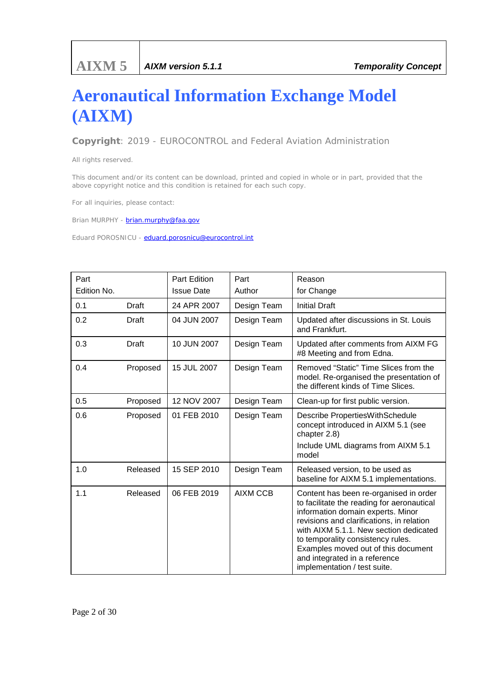# **Aeronautical Information Exchange Model (AIXM)**

*Copyright: 2019 - EUROCONTROL and Federal Aviation Administration*

*All rights reserved.*

*This document and/or its content can be download, printed and copied in whole or in part, provided that the above copyright notice and this condition is retained for each such copy.*

*For all inquiries, please contact:*

*Brian MURPHY - brian.murphy@faa.gov* 

*Eduard POROSNICU - eduard.porosnicu@eurocontrol.int*

| Part<br>Edition No. |          | Part Edition<br><b>Issue Date</b> | Part<br>Author  | Reason<br>for Change                                                                                                                                                                                                                                                                                                                                          |
|---------------------|----------|-----------------------------------|-----------------|---------------------------------------------------------------------------------------------------------------------------------------------------------------------------------------------------------------------------------------------------------------------------------------------------------------------------------------------------------------|
| 0.1                 | Draft    | 24 APR 2007                       | Design Team     | <b>Initial Draft</b>                                                                                                                                                                                                                                                                                                                                          |
| 0.2                 | Draft    | 04 JUN 2007                       | Design Team     | Updated after discussions in St. Louis<br>and Frankfurt.                                                                                                                                                                                                                                                                                                      |
| 0.3                 | Draft    | 10 JUN 2007                       | Design Team     | Updated after comments from AIXM FG<br>#8 Meeting and from Edna.                                                                                                                                                                                                                                                                                              |
| 0.4                 | Proposed | 15 JUL 2007                       | Design Team     | Removed "Static" Time Slices from the<br>model. Re-organised the presentation of<br>the different kinds of Time Slices.                                                                                                                                                                                                                                       |
| 0.5                 | Proposed | 12 NOV 2007                       | Design Team     | Clean-up for first public version.                                                                                                                                                                                                                                                                                                                            |
| 0.6                 | Proposed | 01 FEB 2010                       | Design Team     | Describe PropertiesWithSchedule<br>concept introduced in AIXM 5.1 (see<br>chapter 2.8)<br>Include UML diagrams from AIXM 5.1<br>model                                                                                                                                                                                                                         |
| 1.0                 | Released | 15 SEP 2010                       | Design Team     | Released version, to be used as<br>baseline for AIXM 5.1 implementations.                                                                                                                                                                                                                                                                                     |
| 1.1                 | Released | 06 FEB 2019                       | <b>AIXM CCB</b> | Content has been re-organised in order<br>to facilitate the reading for aeronautical<br>information domain experts. Minor<br>revisions and clarifications, in relation<br>with AIXM 5.1.1. New section dedicated<br>to temporality consistency rules.<br>Examples moved out of this document<br>and integrated in a reference<br>implementation / test suite. |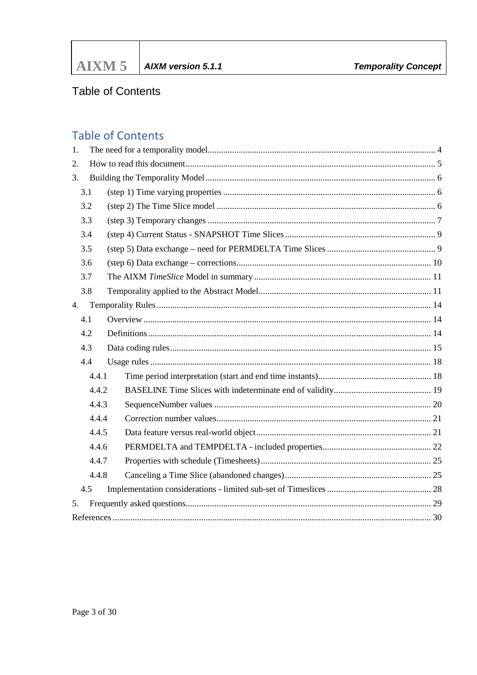# **Table of Contents**

# **Table of Contents**

| 1. |       |  |  |  |
|----|-------|--|--|--|
| 2. |       |  |  |  |
| 3. |       |  |  |  |
|    | 3.1   |  |  |  |
|    | 3.2   |  |  |  |
|    | 3.3   |  |  |  |
|    | 3.4   |  |  |  |
|    | 3.5   |  |  |  |
|    | 3.6   |  |  |  |
|    | 3.7   |  |  |  |
|    | 3.8   |  |  |  |
| 4. |       |  |  |  |
|    | 4.1   |  |  |  |
|    | 4.2   |  |  |  |
|    | 4.3   |  |  |  |
|    | 4.4   |  |  |  |
|    | 4.4.1 |  |  |  |
|    | 4.4.2 |  |  |  |
|    | 4.4.3 |  |  |  |
|    | 4.4.4 |  |  |  |
|    | 4.4.5 |  |  |  |
|    | 4.4.6 |  |  |  |
|    | 4.4.7 |  |  |  |
|    | 4.4.8 |  |  |  |
|    | 4.5   |  |  |  |
| 5. |       |  |  |  |
|    |       |  |  |  |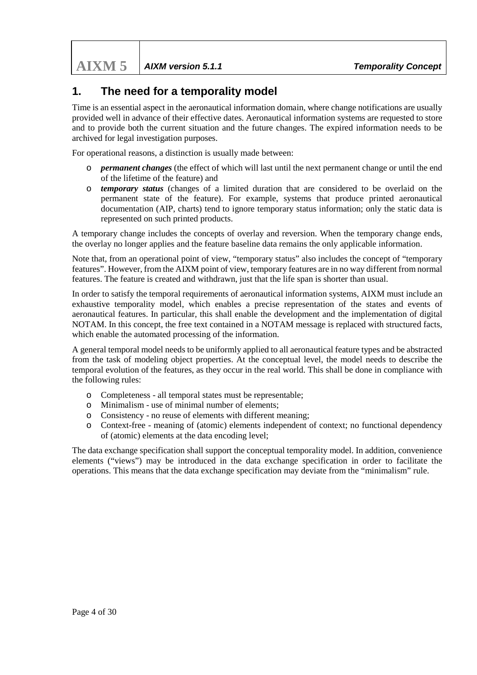# <span id="page-3-0"></span>**1. The need for a temporality model**

Time is an essential aspect in the aeronautical information domain, where change notifications are usually provided well in advance of their effective dates. Aeronautical information systems are requested to store and to provide both the current situation and the future changes. The expired information needs to be archived for legal investigation purposes.

For operational reasons, a distinction is usually made between:

- o *permanent changes* (the effect of which will last until the next permanent change or until the end of the lifetime of the feature) and
- o *temporary status* (changes of a limited duration that are considered to be overlaid on the permanent state of the feature). For example, systems that produce printed aeronautical documentation (AIP, charts) tend to ignore temporary status information; only the static data is represented on such printed products.

A temporary change includes the concepts of overlay and reversion. When the temporary change ends, the overlay no longer applies and the feature baseline data remains the only applicable information.

Note that, from an operational point of view, "temporary status" also includes the concept of "temporary features". However, from the AIXM point of view, temporary features are in no way different from normal features. The feature is created and withdrawn, just that the life span is shorter than usual.

In order to satisfy the temporal requirements of aeronautical information systems, AIXM must include an exhaustive temporality model, which enables a precise representation of the states and events of aeronautical features. In particular, this shall enable the development and the implementation of digital NOTAM. In this concept, the free text contained in a NOTAM message is replaced with structured facts, which enable the automated processing of the information.

A general temporal model needs to be uniformly applied to all aeronautical feature types and be abstracted from the task of modeling object properties. At the conceptual level, the model needs to describe the temporal evolution of the features, as they occur in the real world. This shall be done in compliance with the following rules:

- o Completeness all temporal states must be representable;
- o Minimalism use of minimal number of elements;
- o Consistency no reuse of elements with different meaning;
- o Context-free meaning of (atomic) elements independent of context; no functional dependency of (atomic) elements at the data encoding level;

The data exchange specification shall support the conceptual temporality model. In addition, convenience elements ("views") may be introduced in the data exchange specification in order to facilitate the operations. This means that the data exchange specification may deviate from the "minimalism" rule.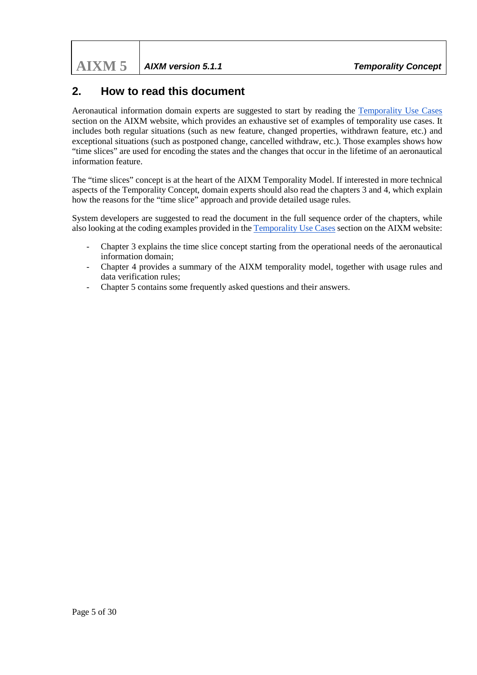**AIXM 5** *AIXM version 5.1.1 Temporality Concept*

# <span id="page-4-0"></span>**2. How to read this document**

Aeronautical information domain experts are suggested to start by reading the [Temporality Use Cases](https://ext.eurocontrol.int/aixm_confluence/display/AC/Temporality+Use+Cases) section on the AIXM website, which provides an exhaustive set of examples of temporality use cases. It includes both regular situations (such as new feature, changed properties, withdrawn feature, etc.) and exceptional situations (such as postponed change, cancelled withdraw, etc.). Those examples shows how "time slices" are used for encoding the states and the changes that occur in the lifetime of an aeronautical information feature.

The "time slices" concept is at the heart of the AIXM Temporality Model. If interested in more technical aspects of the Temporality Concept, domain experts should also read the chapters 3 and 4, which explain how the reasons for the "time slice" approach and provide detailed usage rules.

System developers are suggested to read the document in the full sequence order of the chapters, while also looking at the coding examples provided in th[e Temporality Use Cases](https://ext.eurocontrol.int/aixm_confluence/display/AC/Temporality+Use+Cases) section on the AIXM website:

- Chapter 3 explains the time slice concept starting from the operational needs of the aeronautical information domain;
- Chapter 4 provides a summary of the AIXM temporality model, together with usage rules and data verification rules;
- Chapter 5 contains some frequently asked questions and their answers.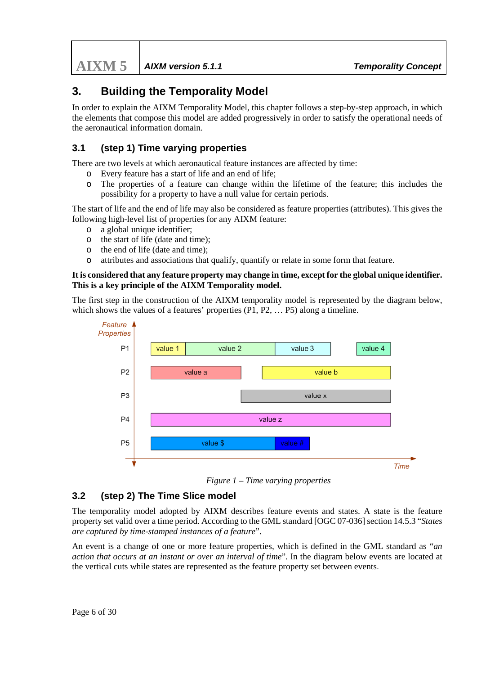**AIXM 5** *AIXM version 5.1.1 Temporality Concept*

# <span id="page-5-0"></span>**3. Building the Temporality Model**

In order to explain the AIXM Temporality Model, this chapter follows a step-by-step approach, in which the elements that compose this model are added progressively in order to satisfy the operational needs of the aeronautical information domain.

# <span id="page-5-1"></span>**3.1 (step 1) Time varying properties**

There are two levels at which aeronautical feature instances are affected by time:

- o Every feature has a start of life and an end of life;
- o The properties of a feature can change within the lifetime of the feature; this includes the possibility for a property to have a null value for certain periods.

The start of life and the end of life may also be considered as feature properties (attributes). This gives the following high-level list of properties for any AIXM feature:

- o a global unique identifier;
- o the start of life (date and time);
- o the end of life (date and time);
- o attributes and associations that qualify, quantify or relate in some form that feature.

#### **It is considered that any feature property may change in time, except for the global unique identifier. This is a key principle of the AIXM Temporality model.**

The first step in the construction of the AIXM temporality model is represented by the diagram below, which shows the values of a features' properties (P1, P2, ... P5) along a timeline.



*Figure 1 – Time varying properties*

# <span id="page-5-2"></span>**3.2 (step 2) The Time Slice model**

The temporality model adopted by AIXM describes feature events and states. A state is the feature property set valid over a time period. According to the GML standard [OGC 07-036] section 14.5.3 "*States are captured by time-stamped instances of a feature*".

An event is a change of one or more feature properties, which is defined in the GML standard as "*an action that occurs at an instant or over an interval of time*". In the diagram below events are located at the vertical cuts while states are represented as the feature property set between events.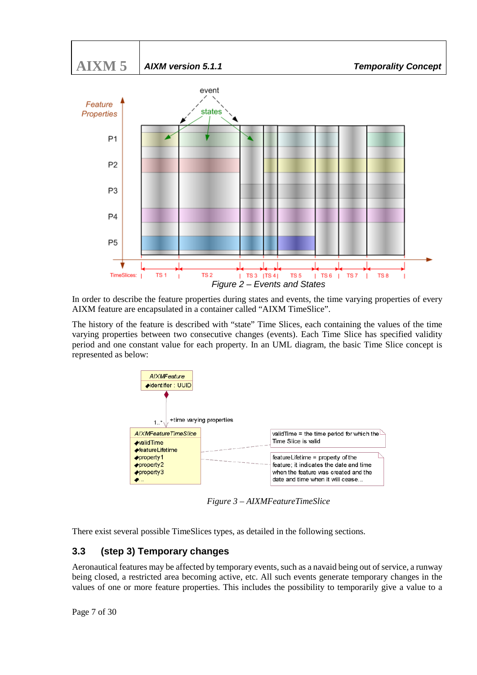



In order to describe the feature properties during states and events, the time varying properties of every AIXM feature are encapsulated in a container called "AIXM TimeSlice".

The history of the feature is described with "state" Time Slices, each containing the values of the time varying properties between two consecutive changes (events). Each Time Slice has specified validity period and one constant value for each property. In an UML diagram, the basic Time Slice concept is represented as below:



*Figure 3 – AIXMFeatureTimeSlice*

There exist several possible TimeSlices types, as detailed in the following sections.

# <span id="page-6-0"></span>**3.3 (step 3) Temporary changes**

Aeronautical features may be affected by temporary events, such as a navaid being out of service, a runway being closed, a restricted area becoming active, etc. All such events generate temporary changes in the values of one or more feature properties. This includes the possibility to temporarily give a value to a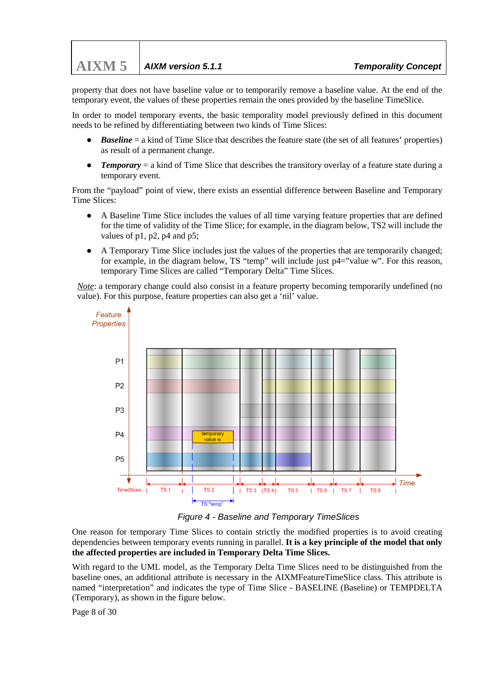property that does not have baseline value or to temporarily remove a baseline value. At the end of the temporary event, the values of these properties remain the ones provided by the baseline TimeSlice.

In order to model temporary events, the basic temporality model previously defined in this document needs to be refined by differentiating between two kinds of Time Slices:

- *Baseline* = a kind of Time Slice that describes the feature state (the set of all features' properties) as result of a permanent change.
- *Temporary* = a kind of Time Slice that describes the transitory overlay of a feature state during a temporary event.

From the "payload" point of view, there exists an essential difference between Baseline and Temporary Time Slices:

- A Baseline Time Slice includes the values of all time varying feature properties that are defined for the time of validity of the Time Slice; for example, in the diagram below, TS2 will include the values of p1, p2, p4 and p5;
- A Temporary Time Slice includes just the values of the properties that are temporarily changed; for example, in the diagram below, TS "temp" will include just p4="value w". For this reason, temporary Time Slices are called "Temporary Delta" Time Slices.

*Note*: a temporary change could also consist in a feature property becoming temporarily undefined (no value). For this purpose, feature properties can also get a 'nil' value.



*Figure 4 - Baseline and Temporary TimeSlices*

One reason for temporary Time Slices to contain strictly the modified properties is to avoid creating dependencies between temporary events running in parallel. **It is a key principle of the model that only the affected properties are included in Temporary Delta Time Slices.**

With regard to the UML model, as the Temporary Delta Time Slices need to be distinguished from the baseline ones, an additional attribute is necessary in the AIXMFeatureTimeSlice class. This attribute is named "interpretation" and indicates the type of Time Slice - BASELINE (Baseline) or TEMPDELTA (Temporary), as shown in the figure below.

Page 8 of 30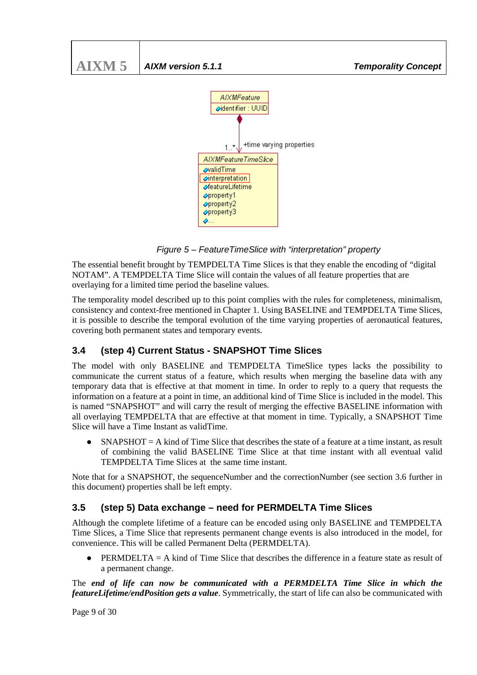

*Figure 5 – FeatureTimeSlice with "interpretation" property*

The essential benefit brought by TEMPDELTA Time Slices is that they enable the encoding of "digital NOTAM". A TEMPDELTA Time Slice will contain the values of all feature properties that are overlaying for a limited time period the baseline values.

The temporality model described up to this point complies with the rules for completeness, minimalism, consistency and context-free mentioned in Chapter 1. Using BASELINE and TEMPDELTA Time Slices, it is possible to describe the temporal evolution of the time varying properties of aeronautical features, covering both permanent states and temporary events.

# <span id="page-8-0"></span>**3.4 (step 4) Current Status - SNAPSHOT Time Slices**

The model with only BASELINE and TEMPDELTA TimeSlice types lacks the possibility to communicate the current status of a feature, which results when merging the baseline data with any temporary data that is effective at that moment in time. In order to reply to a query that requests the information on a feature at a point in time, an additional kind of Time Slice is included in the model. This is named "SNAPSHOT" and will carry the result of merging the effective BASELINE information with all overlaying TEMPDELTA that are effective at that moment in time. Typically, a SNAPSHOT Time Slice will have a Time Instant as validTime.

 $SNAPSHOT = A$  kind of Time Slice that describes the state of a feature at a time instant, as result of combining the valid BASELINE Time Slice at that time instant with all eventual valid TEMPDELTA Time Slices at the same time instant.

Note that for a SNAPSHOT, the sequenceNumber and the correctionNumber (see section 3.6 further in this document) properties shall be left empty.

# <span id="page-8-1"></span>**3.5 (step 5) Data exchange – need for PERMDELTA Time Slices**

Although the complete lifetime of a feature can be encoded using only BASELINE and TEMPDELTA Time Slices, a Time Slice that represents permanent change events is also introduced in the model, for convenience. This will be called Permanent Delta (PERMDELTA).

**PERMDELTA** = A kind of Time Slice that describes the difference in a feature state as result of a permanent change.

The *end of life can now be communicated with a PERMDELTA Time Slice in which the featureLifetime/endPosition gets a value*. Symmetrically, the start of life can also be communicated with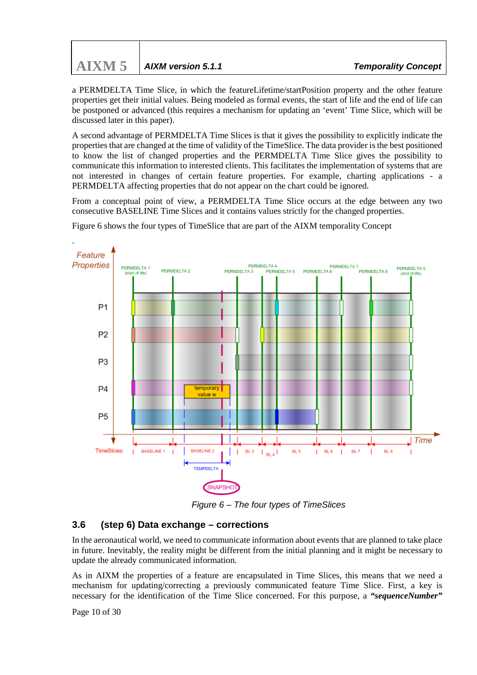| $\text{AIXM}$ 5   AIXM version 5.1.1 |
|--------------------------------------|

a PERMDELTA Time Slice, in which the featureLifetime/startPosition property and the other feature properties get their initial values. Being modeled as formal events, the start of life and the end of life can be postponed or advanced (this requires a mechanism for updating an 'event' Time Slice, which will be discussed later in this paper).

A second advantage of PERMDELTA Time Slices is that it gives the possibility to explicitly indicate the properties that are changed at the time of validity of the TimeSlice. The data provider is the best positioned to know the list of changed properties and the PERMDELTA Time Slice gives the possibility to communicate this information to interested clients. This facilitates the implementation of systems that are not interested in changes of certain feature properties. For example, charting applications - a PERMDELTA affecting properties that do not appear on the chart could be ignored.

From a conceptual point of view, a PERMDELTA Time Slice occurs at the edge between any two consecutive BASELINE Time Slices and it contains values strictly for the changed properties.



Figure 6 shows the four types of TimeSlice that are part of the AIXM temporality Concept

*Figure 6 – The four types of TimeSlices*

#### <span id="page-9-0"></span>**3.6 (step 6) Data exchange – corrections**

In the aeronautical world, we need to communicate information about events that are planned to take place in future. Inevitably, the reality might be different from the initial planning and it might be necessary to update the already communicated information.

As in AIXM the properties of a feature are encapsulated in Time Slices, this means that we need a mechanism for updating/correcting a previously communicated feature Time Slice. First, a key is necessary for the identification of the Time Slice concerned. For this purpose, a *"sequenceNumber"*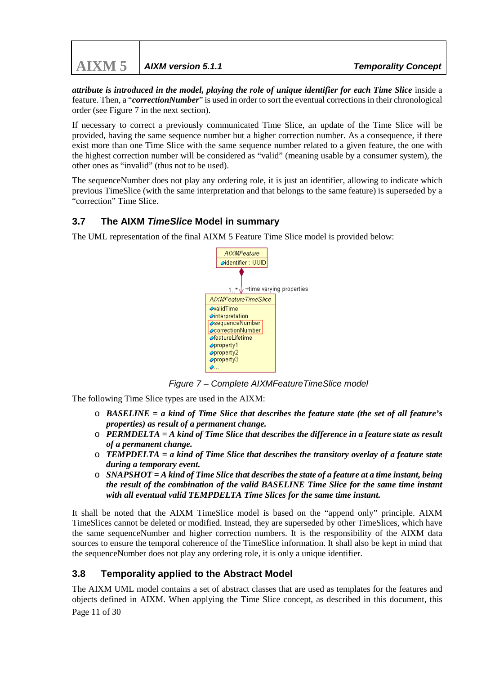**AIXM 5** *AIXM version 5.1.1 Temporality Concept*

*attribute is introduced in the model, playing the role of unique identifier for each Time Slice* inside a feature. Then, a "*correctionNumber*" is used in order to sort the eventual corrections in their chronological order (see Figure 7 in the next section).

If necessary to correct a previously communicated Time Slice, an update of the Time Slice will be provided, having the same sequence number but a higher correction number. As a consequence, if there exist more than one Time Slice with the same sequence number related to a given feature, the one with the highest correction number will be considered as "valid" (meaning usable by a consumer system), the other ones as "invalid" (thus not to be used).

The sequenceNumber does not play any ordering role, it is just an identifier, allowing to indicate which previous TimeSlice (with the same interpretation and that belongs to the same feature) is superseded by a "correction" Time Slice.

# <span id="page-10-0"></span>**3.7 The AIXM** *TimeSlice* **Model in summary**

The UML representation of the final AIXM 5 Feature Time Slice model is provided below:



*Figure 7 – Complete AIXMFeatureTimeSlice model*

The following Time Slice types are used in the AIXM:

- o *BASELINE = a kind of Time Slice that describes the feature state (the set of all feature's properties) as result of a permanent change.*
- o *PERMDELTA = A kind of Time Slice that describes the difference in a feature state as result of a permanent change.*
- o *TEMPDELTA = a kind of Time Slice that describes the transitory overlay of a feature state during a temporary event.*
- o *SNAPSHOT = A kind of Time Slice that describes the state of a feature at a time instant, being the result of the combination of the valid BASELINE Time Slice for the same time instant with all eventual valid TEMPDELTA Time Slices for the same time instant.*

It shall be noted that the AIXM TimeSlice model is based on the "append only" principle. AIXM TimeSlices cannot be deleted or modified. Instead, they are superseded by other TimeSlices, which have the same sequenceNumber and higher correction numbers. It is the responsibility of the AIXM data sources to ensure the temporal coherence of the TimeSlice information. It shall also be kept in mind that the sequenceNumber does not play any ordering role, it is only a unique identifier.

# <span id="page-10-1"></span>**3.8 Temporality applied to the Abstract Model**

The AIXM UML model contains a set of abstract classes that are used as templates for the features and objects defined in AIXM. When applying the Time Slice concept, as described in this document, this

Page 11 of 30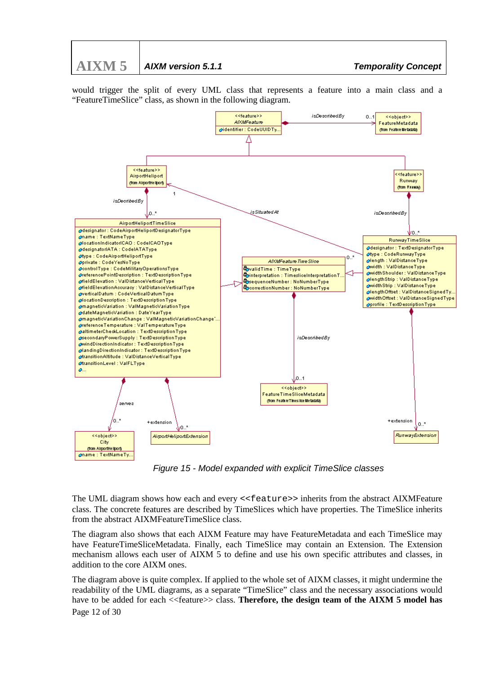

would trigger the split of every UML class that represents a feature into a main class and a "FeatureTimeSlice" class, as shown in the following diagram.



*Figure 15 - Model expanded with explicit TimeSlice classes*

The UML diagram shows how each and every <<feature>> inherits from the abstract AIXMFeature class. The concrete features are described by TimeSlices which have properties. The TimeSlice inherits from the abstract AIXMFeatureTimeSlice class.

The diagram also shows that each AIXM Feature may have FeatureMetadata and each TimeSlice may have FeatureTimeSliceMetadata. Finally, each TimeSlice may contain an Extension. The Extension mechanism allows each user of AIXM 5 to define and use his own specific attributes and classes, in addition to the core AIXM ones.

Page 12 of 30 The diagram above is quite complex. If applied to the whole set of AIXM classes, it might undermine the readability of the UML diagrams, as a separate "TimeSlice" class and the necessary associations would have to be added for each  $\leq$  feature $\geq$  class. **Therefore, the design team of the AIXM 5 model has**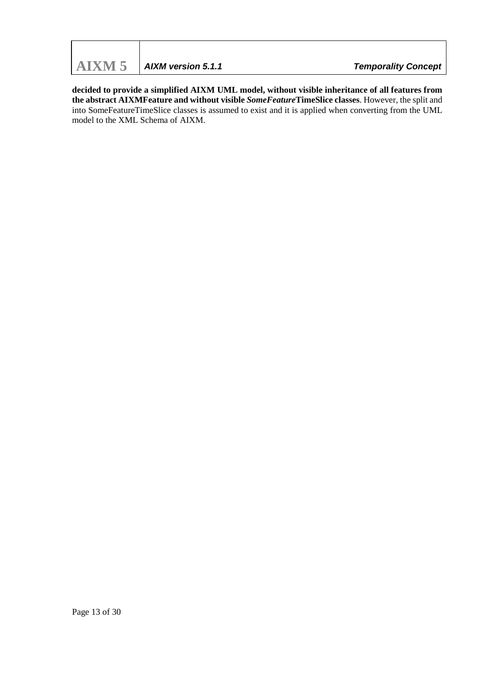**decided to provide a simplified AIXM UML model, without visible inheritance of all features from the abstract AIXMFeature and without visible** *SomeFeature***TimeSlice classes**. However, the split and into SomeFeatureTimeSlice classes is assumed to exist and it is applied when converting from the UML model to the XML Schema of AIXM.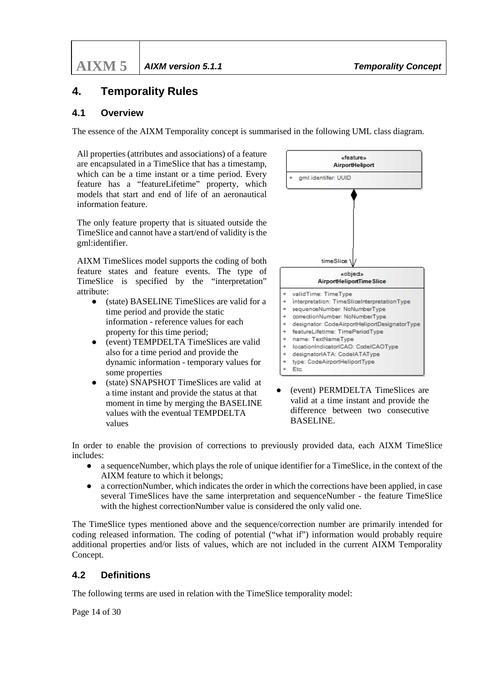# <span id="page-13-0"></span>**4. Temporality Rules**

### <span id="page-13-1"></span>**4.1 Overview**

The essence of the AIXM Temporality concept is summarised in the following UML class diagram.

All properties (attributes and associations) of a feature are encapsulated in a TimeSlice that has a timestamp, which can be a time instant or a time period. Every feature has a "featureLifetime" property, which models that start and end of life of an aeronautical information feature.

The only feature property that is situated outside the TimeSlice and cannot have a start/end of validity is the gml:identifier.

AIXM TimeSlices model supports the coding of both feature states and feature events. The type of TimeSlice is specified by the "interpretation" attribute:

- (state) BASELINE TimeSlices are valid for a time period and provide the static information - reference values for each property for this time period;
- (event) TEMPDELTA TimeSlices are valid also for a time period and provide the dynamic information - temporary values for some properties
- (state) SNAPSHOT TimeSlices are valid at a time instant and provide the status at that moment in time by merging the BASELINE values with the eventual TEMPDELTA values

![](_page_13_Figure_11.jpeg)

● (event) PERMDELTA TimeSlices are valid at a time instant and provide the difference between two consecutive BASELINE.

In order to enable the provision of corrections to previously provided data, each AIXM TimeSlice includes:

- a sequence Number, which plays the role of unique identifier for a TimeSlice, in the context of the AIXM feature to which it belongs;
- a correctionNumber, which indicates the order in which the corrections have been applied, in case several TimeSlices have the same interpretation and sequenceNumber - the feature TimeSlice with the highest correctionNumber value is considered the only valid one.

The TimeSlice types mentioned above and the sequence/correction number are primarily intended for coding released information. The coding of potential ("what if") information would probably require additional properties and/or lists of values, which are not included in the current AIXM Temporality Concept.

#### <span id="page-13-2"></span>**4.2 Definitions**

The following terms are used in relation with the TimeSlice temporality model:

Page 14 of 30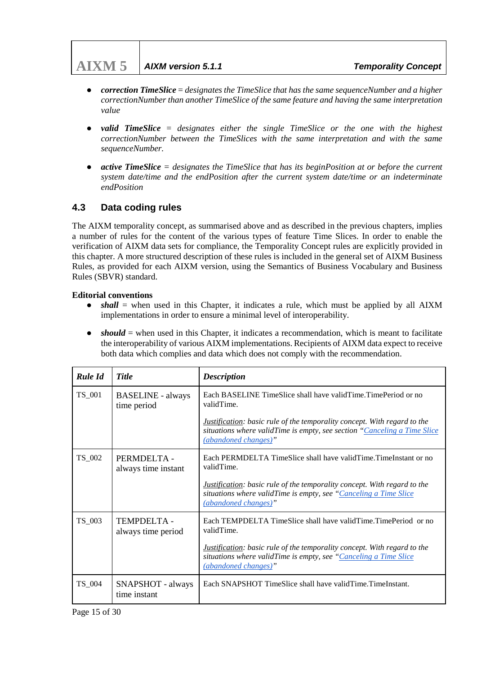# **AIXM 5** *AIXM version 5.1.1 Temporality Concept*

- *correction TimeSlice* = *designates the TimeSlice that has the same sequenceNumber and a higher correctionNumber than another TimeSlice of the same feature and having the same interpretation value*
- *valid TimeSlice* = *designates* either the single TimeSlice or the one with the highest *correctionNumber between the TimeSlices with the same interpretation and with the same sequenceNumber.*
- *active TimeSlice = designates the TimeSlice that has its beginPosition at or before the current system date/time and the endPosition after the current system date/time or an indeterminate endPosition*

# <span id="page-14-0"></span>**4.3 Data coding rules**

The AIXM temporality concept, as summarised above and as described in the previous chapters, implies a number of rules for the content of the various types of feature Time Slices. In order to enable the verification of AIXM data sets for compliance, the Temporality Concept rules are explicitly provided in this chapter. A more structured description of these rules is included in the general set of AIXM Business Rules, as provided for each AIXM version, using the Semantics of Business Vocabulary and Business Rules (SBVR) standard.

#### **Editorial conventions**

- *shall* = when used in this Chapter, it indicates a rule, which must be applied by all AIXM implementations in order to ensure a minimal level of interoperability.
- $should = when used in this Chapter, it indicates a recommendation, which is meant to facilitate$ the interoperability of various AIXM implementations. Recipients of AIXM data expect to receive both data which complies and data which does not comply with the recommendation.

| <b>Rule Id</b> | <b>Title</b>                            | <b>Description</b>                                                                                                                                                                  |
|----------------|-----------------------------------------|-------------------------------------------------------------------------------------------------------------------------------------------------------------------------------------|
| TS_001         | <b>BASELINE</b> - always<br>time period | Each BASELINE TimeSlice shall have valid Time. TimePeriod or no<br>validTime.                                                                                                       |
|                |                                         | <i>Justification:</i> basic rule of the temporality concept. With regard to the<br>situations where validTime is empty, see section "Canceling a Time Slice<br>(abandoned changes)" |
| TS_002         | PERMDELTA -<br>always time instant      | Each PERMDELTA TimeSlice shall have valid Time. TimeInstant or no<br>validTime.                                                                                                     |
|                |                                         | <b>Justification:</b> basic rule of the temporality concept. With regard to the<br>situations where validTime is empty, see "Canceling a Time Slice<br>(abandoned changes)"         |
| TS_003         | TEMPDELTA-<br>always time period        | Each TEMPDELTA TimeSlice shall have valid Time. TimePeriod or no<br>validTime.                                                                                                      |
|                |                                         | <b>Justification:</b> basic rule of the temporality concept. With regard to the<br>situations where validTime is empty, see "Canceling a Time Slice<br>(abandoned changes)"         |
| TS 004         | SNAPSHOT - always<br>time instant       | Each SNAPSHOT TimeSlice shall have validTime.TimeInstant.                                                                                                                           |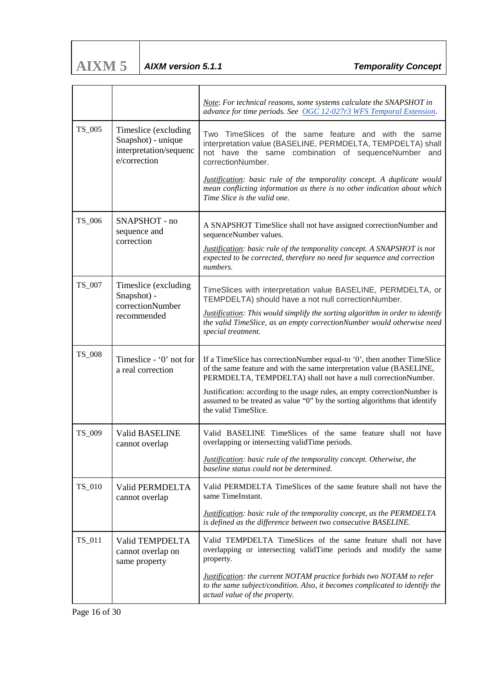| AIXM 5 | AIXM version 5.1.1 |
|--------|--------------------|

|        |                                                                                      | Note: For technical reasons, some systems calculate the SNAPSHOT in<br>advance for time periods. See OGC 12-027r3 WFS Temporal Extension.                                                                                                                                                                                                                                                             |
|--------|--------------------------------------------------------------------------------------|-------------------------------------------------------------------------------------------------------------------------------------------------------------------------------------------------------------------------------------------------------------------------------------------------------------------------------------------------------------------------------------------------------|
| TS_005 | Timeslice (excluding<br>Snapshot) - unique<br>interpretation/sequenc<br>e/correction | TimeSlices of the same feature and with the<br>Two<br>same<br>interpretation value (BASELINE, PERMDELTA, TEMPDELTA) shall<br>not have the same combination of sequenceNumber and<br>correctionNumber.<br>Justification: basic rule of the temporality concept. A duplicate would<br>mean conflicting information as there is no other indication about which<br>Time Slice is the valid one.          |
| TS_006 | SNAPSHOT - no<br>sequence and<br>correction                                          | A SNAPSHOT TimeSlice shall not have assigned correctionNumber and<br>sequenceNumber values.<br>Justification: basic rule of the temporality concept. A SNAPSHOT is not<br>expected to be corrected, therefore no need for sequence and correction<br>numbers.                                                                                                                                         |
| TS_007 | Timeslice (excluding<br>Snapshot) -<br>correctionNumber<br>recommended               | TimeSlices with interpretation value BASELINE, PERMDELTA, or<br>TEMPDELTA) should have a not null correctionNumber.<br><b>Justification:</b> This would simplify the sorting algorithm in order to identify<br>the valid TimeSlice, as an empty correctionNumber would otherwise need<br>special treatment.                                                                                           |
| TS_008 | Timeslice - '0' not for<br>a real correction                                         | If a TimeSlice has correctionNumber equal-to '0', then another TimeSlice<br>of the same feature and with the same interpretation value (BASELINE,<br>PERMDELTA, TEMPDELTA) shall not have a null correctionNumber.<br>Justification: according to the usage rules, an empty correctionNumber is<br>assumed to be treated as value "0" by the sorting algorithms that identify<br>the valid TimeSlice. |
| TS_009 | <b>Valid BASELINE</b><br>cannot overlap                                              | Valid BASELINE TimeSlices of the same feature shall not have<br>overlapping or intersecting validTime periods.<br>Justification: basic rule of the temporality concept. Otherwise, the<br>baseline status could not be determined.                                                                                                                                                                    |
| TS_010 | Valid PERMDELTA<br>cannot overlap                                                    | Valid PERMDELTA TimeSlices of the same feature shall not have the<br>same TimeInstant.<br>Justification: basic rule of the temporality concept, as the PERMDELTA<br>is defined as the difference between two consecutive BASELINE.                                                                                                                                                                    |
| TS_011 | Valid TEMPDELTA<br>cannot overlap on<br>same property                                | Valid TEMPDELTA TimeSlices of the same feature shall not have<br>overlapping or intersecting validTime periods and modify the same<br>property.<br><b>Justification:</b> the current NOTAM practice forbids two NOTAM to refer<br>to the same subject/condition. Also, it becomes complicated to identify the<br>actual value of the property.                                                        |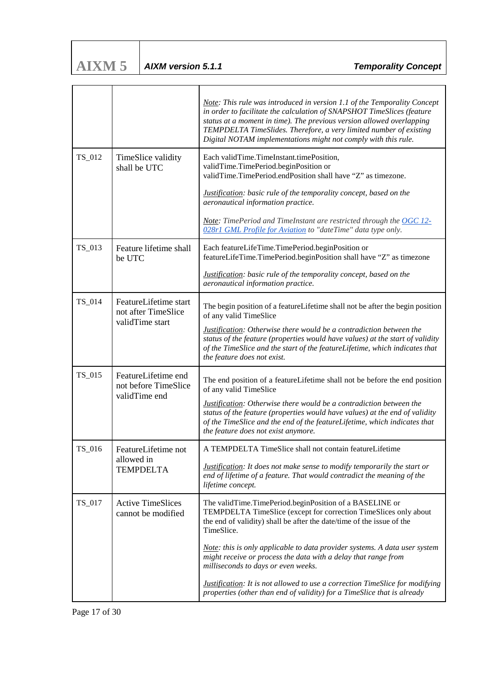| <b>AIXM5</b> | $\vert$ AIXM version 5.1.1 |
|--------------|----------------------------|
|              |                            |

|        |                                                                 | Note: This rule was introduced in version 1.1 of the Temporality Concept<br>in order to facilitate the calculation of SNAPSHOT TimeSlices (feature<br>status at a moment in time). The previous version allowed overlapping<br>TEMPDELTA TimeSlides. Therefore, a very limited number of existing<br>Digital NOTAM implementations might not comply with this rule. |
|--------|-----------------------------------------------------------------|---------------------------------------------------------------------------------------------------------------------------------------------------------------------------------------------------------------------------------------------------------------------------------------------------------------------------------------------------------------------|
| TS_012 | TimeSlice validity<br>shall be UTC                              | Each validTime.TimeInstant.timePosition,<br>validTime.TimePeriod.beginPosition or<br>validTime.TimePeriod.endPosition shall have "Z" as timezone.                                                                                                                                                                                                                   |
|        |                                                                 | Justification: basic rule of the temporality concept, based on the<br>aeronautical information practice.                                                                                                                                                                                                                                                            |
|        |                                                                 | <b>Note:</b> TimePeriod and TimeInstant are restricted through the OGC 12-<br>028r1 GML Profile for Aviation to "dateTime" data type only.                                                                                                                                                                                                                          |
| TS_013 | Feature lifetime shall<br>be UTC                                | Each featureLifeTime.TimePeriod.beginPosition or<br>featureLifeTime.TimePeriod.beginPosition shall have "Z" as timezone                                                                                                                                                                                                                                             |
|        |                                                                 | Justification: basic rule of the temporality concept, based on the<br>aeronautical information practice.                                                                                                                                                                                                                                                            |
| TS_014 | FeatureLifetime start<br>not after TimeSlice<br>validTime start | The begin position of a featureLifetime shall not be after the begin position<br>of any valid TimeSlice                                                                                                                                                                                                                                                             |
|        |                                                                 | Justification: Otherwise there would be a contradiction between the<br>status of the feature (properties would have values) at the start of validity<br>of the TimeSlice and the start of the featureLifetime, which indicates that<br>the feature does not exist.                                                                                                  |
| TS_015 | FeatureLifetime end<br>not before TimeSlice<br>validTime end    | The end position of a featureLifetime shall not be before the end position<br>of any valid TimeSlice                                                                                                                                                                                                                                                                |
|        |                                                                 | <b>Justification:</b> Otherwise there would be a contradiction between the<br>status of the feature (properties would have values) at the end of validity<br>of the TimeSlice and the end of the featureLifetime, which indicates that<br>the feature does not exist anymore.                                                                                       |
| TS_016 | FeatureLifetime not                                             | A TEMPDELTA TimeSlice shall not contain featureLifetime                                                                                                                                                                                                                                                                                                             |
|        | allowed in<br><b>TEMPDELTA</b>                                  | <b>Justification:</b> It does not make sense to modify temporarily the start or<br>end of lifetime of a feature. That would contradict the meaning of the<br>lifetime concept.                                                                                                                                                                                      |
| TS 017 | <b>Active TimeSlices</b><br>cannot be modified                  | The validTime.TimePeriod.beginPosition of a BASELINE or<br>TEMPDELTA TimeSlice (except for correction TimeSlices only about<br>the end of validity) shall be after the date/time of the issue of the<br>TimeSlice.                                                                                                                                                  |
|        |                                                                 | Note: this is only applicable to data provider systems. A data user system<br>might receive or process the data with a delay that range from<br>milliseconds to days or even weeks.                                                                                                                                                                                 |
|        |                                                                 | <b>Justification:</b> It is not allowed to use a correction TimeSlice for modifying<br>properties (other than end of validity) for a TimeSlice that is already                                                                                                                                                                                                      |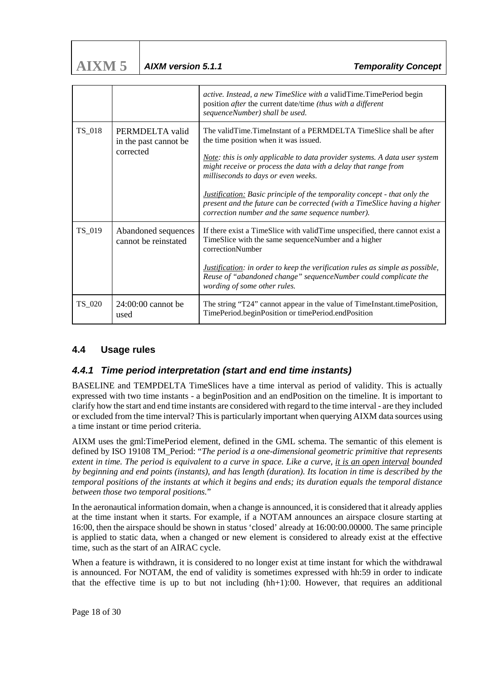| AIXM 5 | $\vert$ AIXM version 5.1. |
|--------|---------------------------|

|        |                                                       | active. Instead, a new TimeSlice with a validTime.TimePeriod begin<br>position after the current date/time (thus with a different<br>sequenceNumber) shall be used.                                                                                                                                                                                                                                                                                                                                                    |
|--------|-------------------------------------------------------|------------------------------------------------------------------------------------------------------------------------------------------------------------------------------------------------------------------------------------------------------------------------------------------------------------------------------------------------------------------------------------------------------------------------------------------------------------------------------------------------------------------------|
| TS_018 | PERMDELTA valid<br>in the past cannot be<br>corrected | The validTime.TimeInstant of a PERMDELTA TimeSlice shall be after<br>the time position when it was issued.<br>Note: this is only applicable to data provider systems. A data user system<br>might receive or process the data with a delay that range from<br>milliseconds to days or even weeks.<br><b>Justification:</b> Basic principle of the temporality concept - that only the<br>present and the future can be corrected (with a TimeSlice having a higher<br>correction number and the same sequence number). |
| TS_019 | Abandoned sequences<br>cannot be reinstated           | If there exist a TimeSlice with validTime unspecified, there cannot exist a<br>TimeSlice with the same sequenceNumber and a higher<br>correctionNumber<br><i>Justification:</i> in order to keep the verification rules as simple as possible,<br>Reuse of "abandoned change" sequenceNumber could complicate the<br>wording of some other rules.                                                                                                                                                                      |
| TS_020 | $24:00:00$ cannot be<br>used                          | The string "T24" cannot appear in the value of TimeInstant.timePosition,<br>TimePeriod.beginPosition or timePeriod.endPosition                                                                                                                                                                                                                                                                                                                                                                                         |

# <span id="page-17-0"></span>**4.4 Usage rules**

#### <span id="page-17-1"></span>*4.4.1 Time period interpretation (start and end time instants)*

BASELINE and TEMPDELTA TimeSlices have a time interval as period of validity. This is actually expressed with two time instants - a beginPosition and an endPosition on the timeline. It is important to clarify how the start and end time instants are considered with regard to the time interval - are they included or excluded from the time interval? This is particularly important when querying AIXM data sources using a time instant or time period criteria.

AIXM uses the gml:TimePeriod element, defined in the GML schema. The semantic of this element is defined by ISO 19108 TM\_Period: "*The period is a one-dimensional geometric primitive that represents extent in time. The period is equivalent to a curve in space. Like a curve, it is an open interval bounded by beginning and end points (instants), and has length (duration). Its location in time is described by the temporal positions of the instants at which it begins and ends; its duration equals the temporal distance between those two temporal positions.*"

In the aeronautical information domain, when a change is announced, it is considered that it already applies at the time instant when it starts. For example, if a NOTAM announces an airspace closure starting at 16:00, then the airspace should be shown in status 'closed' already at 16:00:00.00000. The same principle is applied to static data, when a changed or new element is considered to already exist at the effective time, such as the start of an AIRAC cycle.

When a feature is withdrawn, it is considered to no longer exist at time instant for which the withdrawal is announced. For NOTAM, the end of validity is sometimes expressed with hh:59 in order to indicate that the effective time is up to but not including (hh+1):00. However, that requires an additional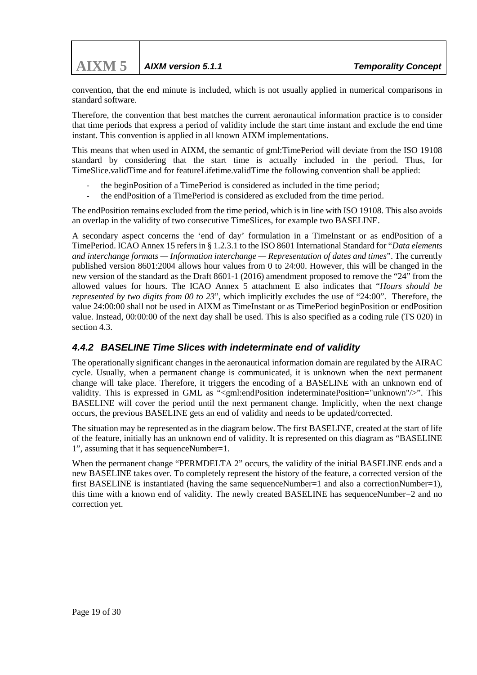convention, that the end minute is included, which is not usually applied in numerical comparisons in standard software.

Therefore, the convention that best matches the current aeronautical information practice is to consider that time periods that express a period of validity include the start time instant and exclude the end time instant. This convention is applied in all known AIXM implementations.

This means that when used in AIXM, the semantic of gml:TimePeriod will deviate from the ISO 19108 standard by considering that the start time is actually included in the period. Thus, for TimeSlice.validTime and for featureLifetime.validTime the following convention shall be applied:

- the beginPosition of a TimePeriod is considered as included in the time period;
- the endPosition of a TimePeriod is considered as excluded from the time period.

The endPosition remains excluded from the time period, which is in line with ISO 19108. This also avoids an overlap in the validity of two consecutive TimeSlices, for example two BASELINE.

A secondary aspect concerns the 'end of day' formulation in a TimeInstant or as endPosition of a TimePeriod. ICAO Annex 15 refers in § 1.2.3.1 to the ISO 8601 International Standard for "*Data elements and interchange formats — Information interchange — Representation of dates and times*". The currently published version 8601:2004 allows hour values from 0 to 24:00. However, this will be changed in the new version of the standard as the Draft 8601-1 (2016) amendment proposed to remove the "24" from the allowed values for hours. The ICAO Annex 5 attachment E also indicates that "*Hours should be represented by two digits from 00 to 23*", which implicitly excludes the use of "24:00". Therefore, the value 24:00:00 shall not be used in AIXM as TimeInstant or as TimePeriod beginPosition or endPosition value. Instead, 00:00:00 of the next day shall be used. This is also specified as a coding rule (TS 020) in section 4.3.

# <span id="page-18-0"></span>*4.4.2 BASELINE Time Slices with indeterminate end of validity*

The operationally significant changes in the aeronautical information domain are regulated by the AIRAC cycle. Usually, when a permanent change is communicated, it is unknown when the next permanent change will take place. Therefore, it triggers the encoding of a BASELINE with an unknown end of validity. This is expressed in GML as "<gml:endPosition indeterminatePosition="unknown"/>". This BASELINE will cover the period until the next permanent change. Implicitly, when the next change occurs, the previous BASELINE gets an end of validity and needs to be updated/corrected.

The situation may be represented as in the diagram below. The first BASELINE, created at the start of life of the feature, initially has an unknown end of validity. It is represented on this diagram as "BASELINE 1", assuming that it has sequenceNumber=1.

When the permanent change "PERMDELTA 2" occurs, the validity of the initial BASELINE ends and a new BASELINE takes over. To completely represent the history of the feature, a corrected version of the first BASELINE is instantiated (having the same sequenceNumber=1 and also a correctionNumber=1), this time with a known end of validity. The newly created BASELINE has sequenceNumber=2 and no correction yet.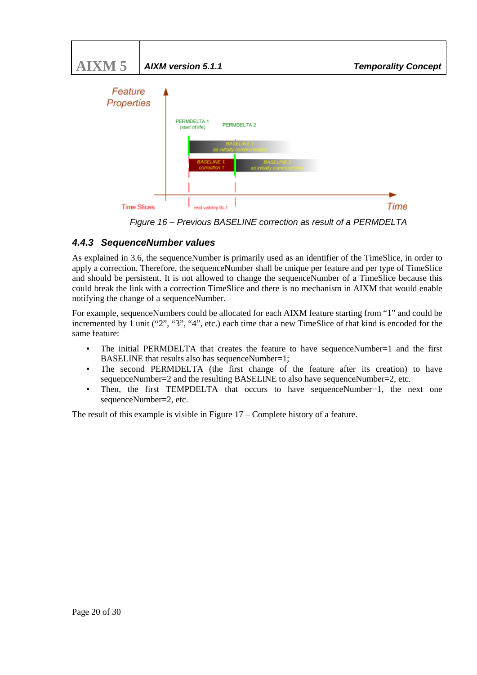![](_page_19_Figure_0.jpeg)

*Figure 16 – Previous BASELINE correction as result of a PERMDELTA*

# <span id="page-19-0"></span>*4.4.3 SequenceNumber values*

As explained in 3.6, the sequenceNumber is primarily used as an identifier of the TimeSlice, in order to apply a correction. Therefore, the sequenceNumber shall be unique per feature and per type of TimeSlice and should be persistent. It is not allowed to change the sequenceNumber of a TimeSlice because this could break the link with a correction TimeSlice and there is no mechanism in AIXM that would enable notifying the change of a sequenceNumber.

For example, sequenceNumbers could be allocated for each AIXM feature starting from "1" and could be incremented by 1 unit ("2", "3", "4", etc.) each time that a new TimeSlice of that kind is encoded for the same feature:

- The initial PERMDELTA that creates the feature to have sequenceNumber=1 and the first BASELINE that results also has sequenceNumber=1;
- The second PERMDELTA (the first change of the feature after its creation) to have sequenceNumber=2 and the resulting BASELINE to also have sequenceNumber=2, etc.
- Then, the first TEMPDELTA that occurs to have sequenceNumber=1, the next one sequenceNumber=2, etc.

The result of this example is visible in Figure 17 – Complete history of a feature.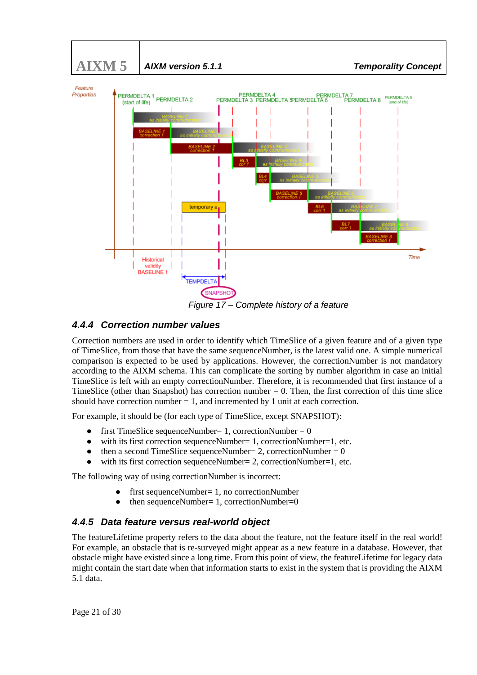![](_page_20_Figure_0.jpeg)

#### <span id="page-20-0"></span>*4.4.4 Correction number values*

Correction numbers are used in order to identify which TimeSlice of a given feature and of a given type of TimeSlice, from those that have the same sequenceNumber, is the latest valid one. A simple numerical comparison is expected to be used by applications. However, the correctionNumber is not mandatory according to the AIXM schema. This can complicate the sorting by number algorithm in case an initial TimeSlice is left with an empty correctionNumber. Therefore, it is recommended that first instance of a TimeSlice (other than Snapshot) has correction number  $= 0$ . Then, the first correction of this time slice should have correction number  $= 1$ , and incremented by 1 unit at each correction.

For example, it should be (for each type of TimeSlice, except SNAPSHOT):

- first TimeSlice sequenceNumber = 1, correctionNumber =  $0$
- with its first correction sequenceNumber=  $1$ , correctionNumber= $1$ , etc.
- then a second TimeSlice sequenceNumber = 2, correctionNumber =  $0$
- with its first correction sequenceNumber=  $2$ , correctionNumber=1, etc.

The following way of using correctionNumber is incorrect:

- first sequenceNumber= 1, no correctionNumber
- then sequenceNumber= 1, correctionNumber=0

# <span id="page-20-1"></span>*4.4.5 Data feature versus real-world object*

The featureLifetime property refers to the data about the feature, not the feature itself in the real world! For example, an obstacle that is re-surveyed might appear as a new feature in a database. However, that obstacle might have existed since a long time. From this point of view, the featureLifetime for legacy data might contain the start date when that information starts to exist in the system that is providing the AIXM 5.1 data.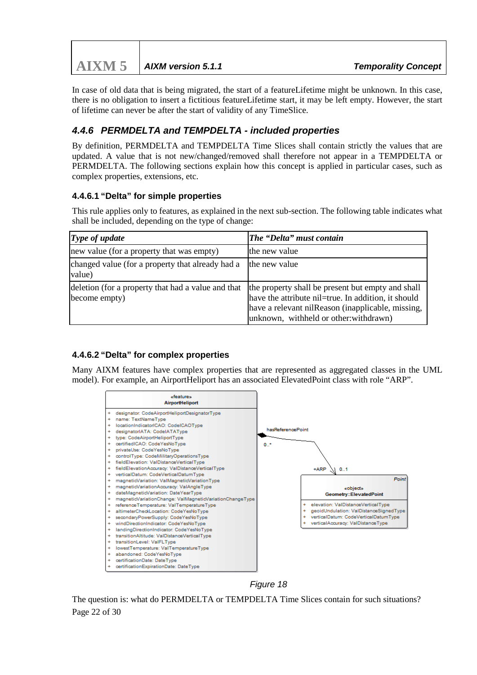| $\bf{AIXM}$ 5   AIXM version 5.1.1 | <b>Temporality Concept</b> |
|------------------------------------|----------------------------|

In case of old data that is being migrated, the start of a featureLifetime might be unknown. In this case, there is no obligation to insert a fictitious featureLifetime start, it may be left empty. However, the start of lifetime can never be after the start of validity of any TimeSlice.

# <span id="page-21-0"></span>*4.4.6 PERMDELTA and TEMPDELTA - included properties*

By definition, PERMDELTA and TEMPDELTA Time Slices shall contain strictly the values that are updated. A value that is not new/changed/removed shall therefore not appear in a TEMPDELTA or PERMDELTA. The following sections explain how this concept is applied in particular cases, such as complex properties, extensions, etc.

#### **4.4.6.1 "Delta" for simple properties**

This rule applies only to features, as explained in the next sub-section. The following table indicates what shall be included, depending on the type of change:

| Type of update                                                      | The "Delta" must contain                                                                                                                                                                                |
|---------------------------------------------------------------------|---------------------------------------------------------------------------------------------------------------------------------------------------------------------------------------------------------|
| new value (for a property that was empty)                           | the new value                                                                                                                                                                                           |
| changed value (for a property that already had a<br>value)          | the new value                                                                                                                                                                                           |
| deletion (for a property that had a value and that<br>become empty) | the property shall be present but empty and shall<br>have the attribute nil=true. In addition, it should<br>have a relevant nilReason (inapplicable, missing,<br>unknown, withheld or other: withdrawn) |

#### **4.4.6.2 "Delta" for complex properties**

Many AIXM features have complex properties that are represented as aggregated classes in the UML model). For example, an AirportHeliport has an associated ElevatedPoint class with role "ARP".

![](_page_21_Figure_9.jpeg)

*Figure 18*

Page 22 of 30 The question is: what do PERMDELTA or TEMPDELTA Time Slices contain for such situations?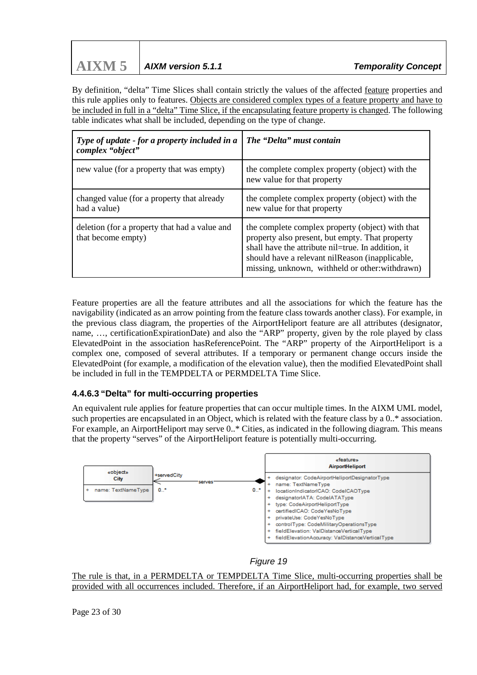# **AIXM 5** *AIXM version 5.1.1 Temporality Concept*

By definition, "delta" Time Slices shall contain strictly the values of the affected feature properties and this rule applies only to features. Objects are considered complex types of a feature property and have to be included in full in a "delta" Time Slice, if the encapsulating feature property is changed. The following table indicates what shall be included, depending on the type of change.

| Type of update - for a property included in a<br>complex "object"   | The "Delta" must contain                                                                                                                                                                                                                                         |
|---------------------------------------------------------------------|------------------------------------------------------------------------------------------------------------------------------------------------------------------------------------------------------------------------------------------------------------------|
| new value (for a property that was empty)                           | the complete complex property (object) with the<br>new value for that property                                                                                                                                                                                   |
| changed value (for a property that already<br>had a value)          | the complete complex property (object) with the<br>new value for that property                                                                                                                                                                                   |
| deletion (for a property that had a value and<br>that become empty) | the complete complex property (object) with that<br>property also present, but empty. That property<br>shall have the attribute nil=true. In addition, it<br>should have a relevant nil Reason (inapplicable,<br>missing, unknown, withheld or other: withdrawn) |

Feature properties are all the feature attributes and all the associations for which the feature has the navigability (indicated as an arrow pointing from the feature class towards another class). For example, in the previous class diagram, the properties of the AirportHeliport feature are all attributes (designator, name, …, certificationExpirationDate) and also the "ARP" property, given by the role played by class ElevatedPoint in the association hasReferencePoint. The "ARP" property of the AirportHeliport is a complex one, composed of several attributes. If a temporary or permanent change occurs inside the ElevatedPoint (for example, a modification of the elevation value), then the modified ElevatedPoint shall be included in full in the TEMPDELTA or PERMDELTA Time Slice.

#### **4.4.6.3 "Delta" for multi-occurring properties**

An equivalent rule applies for feature properties that can occur multiple times. In the AIXM UML model, such properties are encapsulated in an Object, which is related with the feature class by a 0..\* association. For example, an AirportHeliport may serve 0..\* Cities, as indicated in the following diagram. This means that the property "serves" of the AirportHeliport feature is potentially multi-occurring.

![](_page_22_Figure_7.jpeg)

#### *Figure 19*

The rule is that, in a PERMDELTA or TEMPDELTA Time Slice, multi-occurring properties shall be provided with all occurrences included. Therefore, if an AirportHeliport had, for example, two served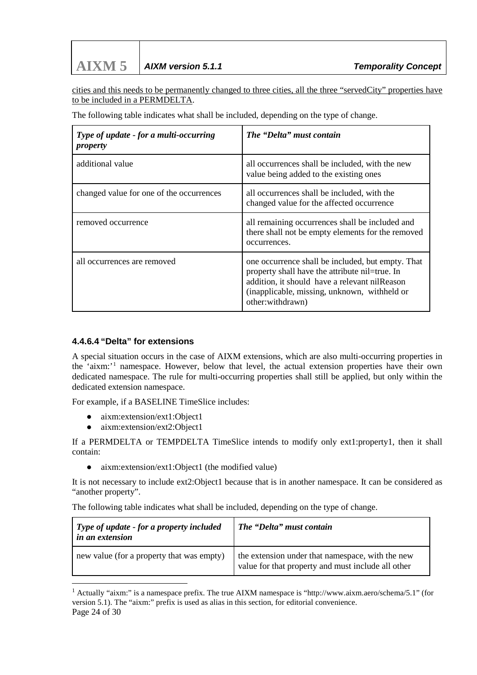cities and this needs to be permanently changed to three cities, all the three "servedCity" properties have to be included in a PERMDELTA.

The following table indicates what shall be included, depending on the type of change.

| Type of update - for a multi-occurring<br>property | The "Delta" must contain                                                                                                                                                                                                 |
|----------------------------------------------------|--------------------------------------------------------------------------------------------------------------------------------------------------------------------------------------------------------------------------|
| additional value                                   | all occurrences shall be included, with the new<br>value being added to the existing ones                                                                                                                                |
| changed value for one of the occurrences           | all occurrences shall be included, with the<br>changed value for the affected occurrence                                                                                                                                 |
| removed occurrence                                 | all remaining occurrences shall be included and<br>there shall not be empty elements for the removed<br>occurrences.                                                                                                     |
| all occurrences are removed                        | one occurrence shall be included, but empty. That<br>property shall have the attribute nil=true. In<br>addition, it should have a relevant nilReason<br>(inapplicable, missing, unknown, withheld or<br>other:withdrawn) |

#### **4.4.6.4 "Delta" for extensions**

A special situation occurs in the case of AIXM extensions, which are also multi-occurring properties in the 'aixm:'[1](#page-23-0) namespace. However, below that level, the actual extension properties have their own dedicated namespace. The rule for multi-occurring properties shall still be applied, but only within the dedicated extension namespace.

For example, if a BASELINE TimeSlice includes:

- aixm:extension/ext1:Object1
- aixm:extension/ext2:Object1

If a PERMDELTA or TEMPDELTA TimeSlice intends to modify only ext1:property1, then it shall contain:

• aixm: extension/ext1: Object1 (the modified value)

It is not necessary to include ext2:Object1 because that is in another namespace. It can be considered as "another property".

The following table indicates what shall be included, depending on the type of change.

| Type of update - for a property included<br><i>in an extension</i> | The "Delta" must contain                                                                               |
|--------------------------------------------------------------------|--------------------------------------------------------------------------------------------------------|
| new value (for a property that was empty)                          | the extension under that namespace, with the new<br>value for that property and must include all other |

<span id="page-23-0"></span>Page 24 of 30 1 Actually "aixm:" is a namespace prefix. The true AIXM namespace is "http://www.aixm.aero/schema/5.1" (for version 5.1). The "aixm:" prefix is used as alias in this section, for editorial convenience.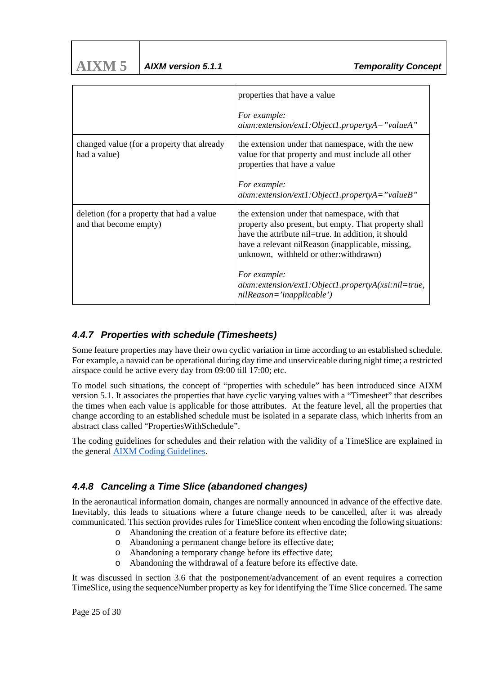| AIXM <sub>5</sub> | AIXM version 5.1.1 |
|-------------------|--------------------|
|                   |                    |

|                                                                     | properties that have a value                                                                                                                                                                                                                                 |
|---------------------------------------------------------------------|--------------------------------------------------------------------------------------------------------------------------------------------------------------------------------------------------------------------------------------------------------------|
|                                                                     | For example:<br>$aixm: extension/ext1: Object1, propertyA = "valueA"$                                                                                                                                                                                        |
| changed value (for a property that already<br>had a value)          | the extension under that namespace, with the new<br>value for that property and must include all other<br>properties that have a value                                                                                                                       |
|                                                                     | For example:<br>$aixm: extension/ext1:Object1, propertyA = "valueB"$                                                                                                                                                                                         |
| deletion (for a property that had a value<br>and that become empty) | the extension under that namespace, with that<br>property also present, but empty. That property shall<br>have the attribute nil=true. In addition, it should<br>have a relevant nilReason (inapplicable, missing,<br>unknown, withheld or other: withdrawn) |
|                                                                     | For example:<br>$aixm: extension/ext1: Object1. property A(xsi:nil=true,$<br>$nilReason='inapplicable')$                                                                                                                                                     |

### <span id="page-24-0"></span>*4.4.7 Properties with schedule (Timesheets)*

Some feature properties may have their own cyclic variation in time according to an established schedule. For example, a navaid can be operational during day time and unserviceable during night time; a restricted airspace could be active every day from 09:00 till 17:00; etc.

To model such situations, the concept of "properties with schedule" has been introduced since AIXM version 5.1. It associates the properties that have cyclic varying values with a "Timesheet" that describes the times when each value is applicable for those attributes. At the feature level, all the properties that change according to an established schedule must be isolated in a separate class, which inherits from an abstract class called "PropertiesWithSchedule".

The coding guidelines for schedules and their relation with the validity of a TimeSlice are explained in the general [AIXM Coding Guidelines.](https://ext.eurocontrol.int/aixm_confluence/pages/viewpage.action?pageId=17502237)

# <span id="page-24-1"></span>*4.4.8 Canceling a Time Slice (abandoned changes)*

In the aeronautical information domain, changes are normally announced in advance of the effective date. Inevitably, this leads to situations where a future change needs to be cancelled, after it was already communicated. This section provides rules for TimeSlice content when encoding the following situations:

- o Abandoning the creation of a feature before its effective date;
- o Abandoning a permanent change before its effective date;
- o Abandoning a temporary change before its effective date;
- o Abandoning the withdrawal of a feature before its effective date.

It was discussed in section 3.6 that the postponement/advancement of an event requires a correction TimeSlice, using the sequenceNumber property as key for identifying the Time Slice concerned. The same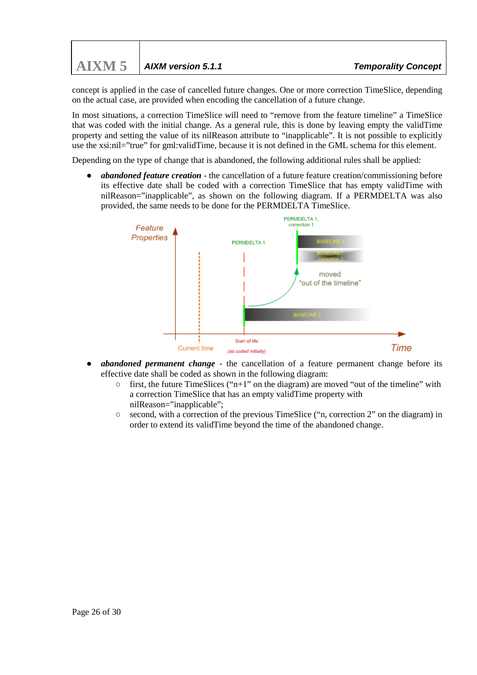concept is applied in the case of cancelled future changes. One or more correction TimeSlice, depending on the actual case, are provided when encoding the cancellation of a future change.

In most situations, a correction TimeSlice will need to "remove from the feature timeline" a TimeSlice that was coded with the initial change. As a general rule, this is done by leaving empty the validTime property and setting the value of its nilReason attribute to "inapplicable". It is not possible to explicitly use the xsi:nil="true" for gml:validTime, because it is not defined in the GML schema for this element.

Depending on the type of change that is abandoned, the following additional rules shall be applied:

*abandoned feature creation* - the cancellation of a future feature creation/commissioning before its effective date shall be coded with a correction TimeSlice that has empty validTime with nilReason="inapplicable", as shown on the following diagram. If a PERMDELTA was also provided, the same needs to be done for the PERMDELTA TimeSlice.

![](_page_25_Figure_5.jpeg)

- *abandoned permanent change* the cancellation of a feature permanent change before its effective date shall be coded as shown in the following diagram:
	- $\circ$  first, the future TimeSlices ("n+1" on the diagram) are moved "out of the timeline" with a correction TimeSlice that has an empty validTime property with nilReason="inapplicable";
	- second, with a correction of the previous TimeSlice ("n, correction 2" on the diagram) in order to extend its validTime beyond the time of the abandoned change.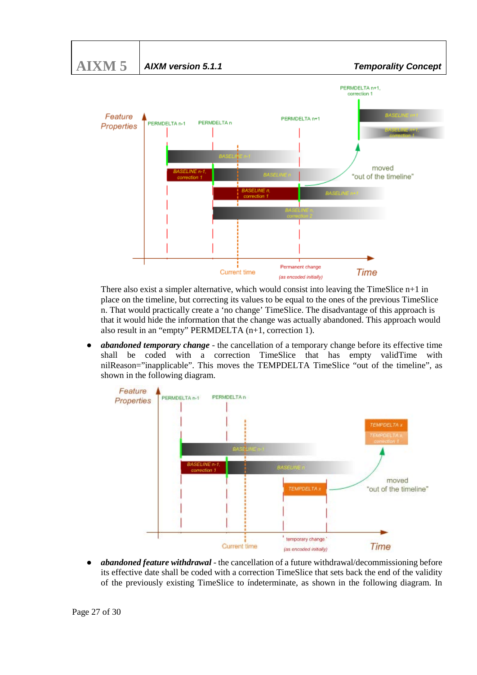![](_page_26_Figure_0.jpeg)

There also exist a simpler alternative, which would consist into leaving the TimeSlice  $n+1$  in place on the timeline, but correcting its values to be equal to the ones of the previous TimeSlice n. That would practically create a 'no change' TimeSlice. The disadvantage of this approach is that it would hide the information that the change was actually abandoned. This approach would also result in an "empty" PERMDELTA (n+1, correction 1).

● *abandoned temporary change* - the cancellation of a temporary change before its effective time shall be coded with a correction TimeSlice that has empty validTime with nilReason="inapplicable". This moves the TEMPDELTA TimeSlice "out of the timeline", as shown in the following diagram.

![](_page_26_Figure_3.jpeg)

abandoned feature withdrawal - the cancellation of a future withdrawal/decommissioning before its effective date shall be coded with a correction TimeSlice that sets back the end of the validity of the previously existing TimeSlice to índeterminate, as shown in the following diagram. In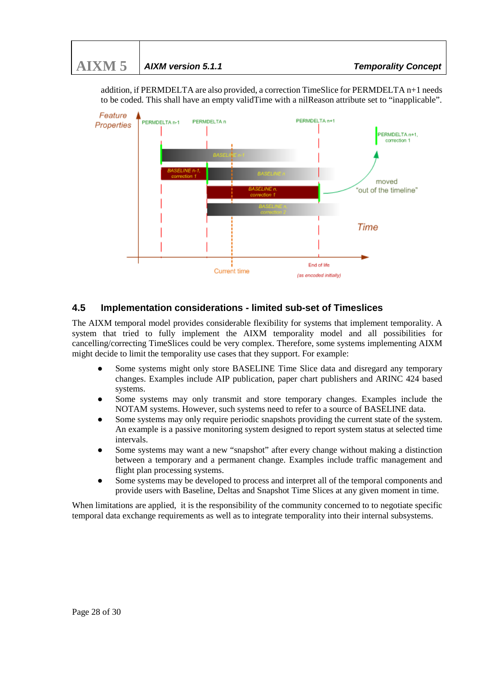Feature PERMOELTA n+1 PERMDELTA n-1 PERMOEL TA n Properties PERMDELTA n+1, correction 1 moved "out of the timeline" Time End of life **Current time** (as encoded initially)

addition, if PERMDELTA are also provided, a correction TimeSlice for PERMDELTA n+1 needs to be coded. This shall have an empty validTime with a nilReason attribute set to "inapplicable".

# <span id="page-27-0"></span>**4.5 Implementation considerations - limited sub-set of Timeslices**

The AIXM temporal model provides considerable flexibility for systems that implement temporality. A system that tried to fully implement the AIXM temporality model and all possibilities for cancelling/correcting TimeSlices could be very complex. Therefore, some systems implementing AIXM might decide to limit the temporality use cases that they support. For example:

- Some systems might only store BASELINE Time Slice data and disregard any temporary changes. Examples include AIP publication, paper chart publishers and ARINC 424 based systems.
- Some systems may only transmit and store temporary changes. Examples include the NOTAM systems. However, such systems need to refer to a source of BASELINE data.
- Some systems may only require periodic snapshots providing the current state of the system. An example is a passive monitoring system designed to report system status at selected time intervals.
- Some systems may want a new "snapshot" after every change without making a distinction between a temporary and a permanent change. Examples include traffic management and flight plan processing systems.
- Some systems may be developed to process and interpret all of the temporal components and provide users with Baseline, Deltas and Snapshot Time Slices at any given moment in time.

When limitations are applied, it is the responsibility of the community concerned to to negotiate specific temporal data exchange requirements as well as to integrate temporality into their internal subsystems.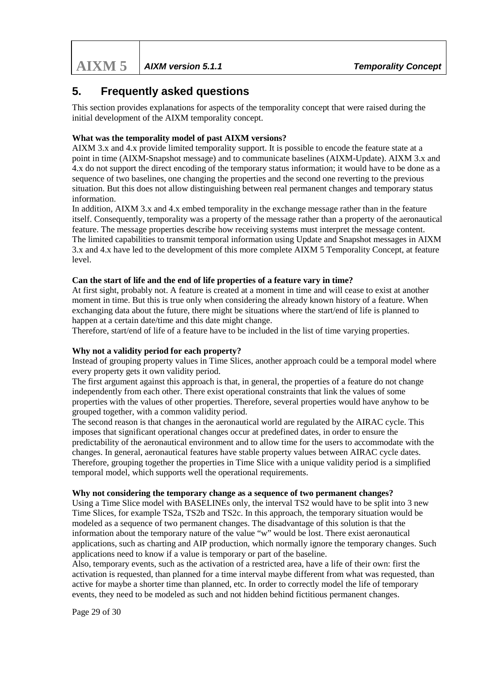# <span id="page-28-0"></span>**5. Frequently asked questions**

This section provides explanations for aspects of the temporality concept that were raised during the initial development of the AIXM temporality concept.

#### **What was the temporality model of past AIXM versions?**

AIXM 3.x and 4.x provide limited temporality support. It is possible to encode the feature state at a point in time (AIXM-Snapshot message) and to communicate baselines (AIXM-Update). AIXM 3.x and 4.x do not support the direct encoding of the temporary status information; it would have to be done as a sequence of two baselines, one changing the properties and the second one reverting to the previous situation. But this does not allow distinguishing between real permanent changes and temporary status information.

In addition, AIXM 3.x and 4.x embed temporality in the exchange message rather than in the feature itself. Consequently, temporality was a property of the message rather than a property of the aeronautical feature. The message properties describe how receiving systems must interpret the message content. The limited capabilities to transmit temporal information using Update and Snapshot messages in AIXM 3.x and 4.x have led to the development of this more complete AIXM 5 Temporality Concept, at feature level.

#### **Can the start of life and the end of life properties of a feature vary in time?**

At first sight, probably not. A feature is created at a moment in time and will cease to exist at another moment in time. But this is true only when considering the already known history of a feature. When exchanging data about the future, there might be situations where the start/end of life is planned to happen at a certain date/time and this date might change.

Therefore, start/end of life of a feature have to be included in the list of time varying properties.

#### **Why not a validity period for each property?**

Instead of grouping property values in Time Slices, another approach could be a temporal model where every property gets it own validity period.

The first argument against this approach is that, in general, the properties of a feature do not change independently from each other. There exist operational constraints that link the values of some properties with the values of other properties. Therefore, several properties would have anyhow to be grouped together, with a common validity period.

The second reason is that changes in the aeronautical world are regulated by the AIRAC cycle. This imposes that significant operational changes occur at predefined dates, in order to ensure the predictability of the aeronautical environment and to allow time for the users to accommodate with the changes. In general, aeronautical features have stable property values between AIRAC cycle dates. Therefore, grouping together the properties in Time Slice with a unique validity period is a simplified temporal model, which supports well the operational requirements.

#### **Why not considering the temporary change as a sequence of two permanent changes?**

Using a Time Slice model with BASELINEs only, the interval TS2 would have to be split into 3 new Time Slices, for example TS2a, TS2b and TS2c. In this approach, the temporary situation would be modeled as a sequence of two permanent changes. The disadvantage of this solution is that the information about the temporary nature of the value "w" would be lost. There exist aeronautical applications, such as charting and AIP production, which normally ignore the temporary changes. Such applications need to know if a value is temporary or part of the baseline.

Also, temporary events, such as the activation of a restricted area, have a life of their own: first the activation is requested, than planned for a time interval maybe different from what was requested, than active for maybe a shorter time than planned, etc. In order to correctly model the life of temporary events, they need to be modeled as such and not hidden behind fictitious permanent changes.

Page 29 of 30